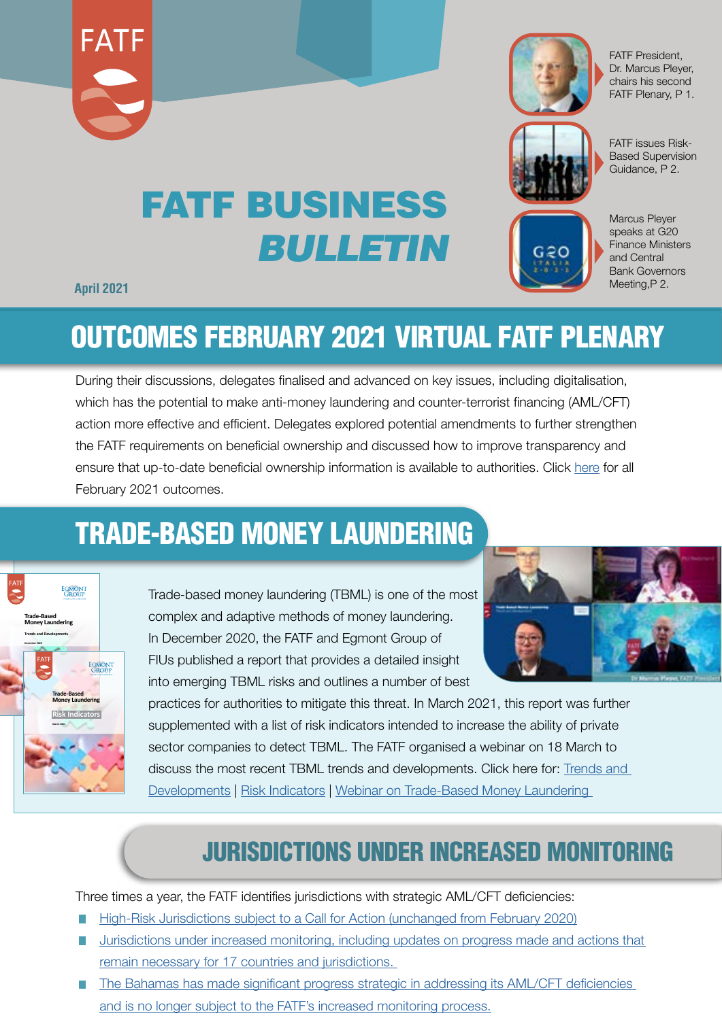



FATF President, Dr. Marcus Pleyer, chairs his second FATF Plenary, P 1.



FATF issues Risk-Based Supervision Guidance, P 2.

# FATF BUSINESS *BULLETIN*



Marcus Pleyer speaks at G20 Finance Ministers and Central Bank Governors Meeting,P 2.

#### **April 2021**

### OUTCOMES FEBRUARY 2021 VIRTUAL FATF PLENARY

During their discussions, delegates finalised and advanced on key issues, including digitalisation, which has the potential to make anti-money laundering and counter-terrorist financing (AML/CFT) action more effective and efficient. Delegates explored potential amendments to further strengthen the FATF requirements on beneficial ownership and discussed how to improve transparency and ensure that up-to-date beneficial ownership information is available to authorities. Click [here](http://www.fatf-gafi.org/publications/fatfgeneral/documents/outcomes-fatf-plenary-february-2021.html) for all February 2021 outcomes.

### TRADE-BASED MONEY LAUNDERING



Trade-based money laundering (TBML) is one of the most complex and adaptive methods of money laundering. In December 2020, the FATF and Egmont Group of FIUs published a report that provides a detailed insight into emerging TBML risks and outlines a number of best



practices for authorities to mitigate this threat. In March 2021, this report was further supplemented with a list of risk indicators intended to increase the ability of private sector companies to detect TBML. The FATF organised a webinar on 18 March to discuss the most recent TBML trends and developments. Click here for: Trends and [Developments](http://www.fatf-gafi.org/publications/methodsandtrends/documents/trade-based-money-laundering-trends-and-developments.html) | [Risk Indicators](http://www.fatf-gafi.org/publications/methodsandtrends/documents/trade-based-money-laundering-indicators.html) | [Webinar on Trade-Based Money Laundering](http://www.fatf-gafi.org/publications/methodsandtrends/documents/webinar-trade-based-money-laundering.html) 

### JURISDICTIONS UNDER INCREASED MONITORING

Three times a year, the FATF identifies jurisdictions with strategic AML/CFT deficiencies:

- [High-Risk Jurisdictions subject to a Call for Action \(unchanged from February 2020\)](http://www.fatf-gafi.org/publications/high-risk-and-other-monitored-jurisdictions/documents/call-for-action-february-2021.html)
- [Jurisdictions under increased monitoring](http://www.fatf-gafi.org/publications/high-risk-and-other-monitored-jurisdictions/documents/increased-monitoring-february-2021.html), including updates on progress made and actions that F. remain necessary for 17 countries and jurisdictions.
- The [Bahamas has made significant progress strategic in addressing its AML/CFT deficiencies](http://www.fatf-gafi.org/publications/high-risk-and-other-monitored-jurisdictions/documents/bahamas-delisting-2020.html)   $\overline{\phantom{a}}$ [and is no longer subject to the FATF's increased monitoring process.](http://www.fatf-gafi.org/publications/high-risk-and-other-monitored-jurisdictions/documents/bahamas-delisting-2020.html)